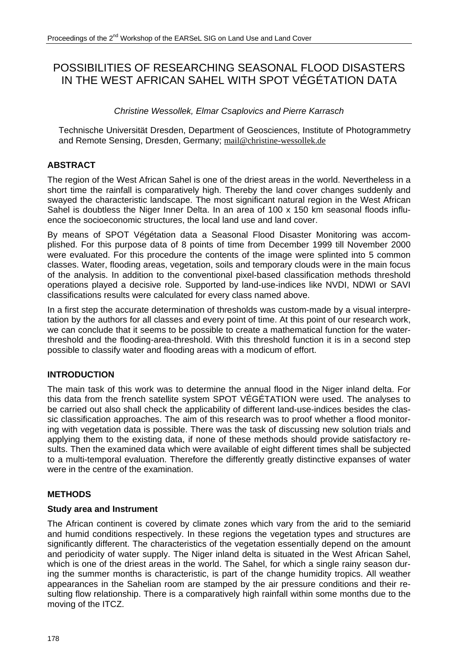# POSSIBILITIES OF RESEARCHING SEASONAL FLOOD DISASTERS IN THE WEST AFRICAN SAHEL WITH SPOT VÉGÉTATION DATA

### *Christine Wessollek, Elmar Csaplovics and Pierre Karrasch*

Technische Universität Dresden, Department of Geosciences, Institute of Photogrammetry and Remote Sensing, Dresden, Germany; mail@christine-wessollek.de

## **ABSTRACT**

The region of the West African Sahel is one of the driest areas in the world. Nevertheless in a short time the rainfall is comparatively high. Thereby the land cover changes suddenly and swayed the characteristic landscape. The most significant natural region in the West African Sahel is doubtless the Niger Inner Delta. In an area of 100 x 150 km seasonal floods influence the socioeconomic structures, the local land use and land cover.

By means of SPOT Végétation data a Seasonal Flood Disaster Monitoring was accomplished. For this purpose data of 8 points of time from December 1999 till November 2000 were evaluated. For this procedure the contents of the image were splinted into 5 common classes. Water, flooding areas, vegetation, soils and temporary clouds were in the main focus of the analysis. In addition to the conventional pixel-based classification methods threshold operations played a decisive role. Supported by land-use-indices like NVDI, NDWI or SAVI classifications results were calculated for every class named above.

In a first step the accurate determination of thresholds was custom-made by a visual interpretation by the authors for all classes and every point of time. At this point of our research work, we can conclude that it seems to be possible to create a mathematical function for the waterthreshold and the flooding-area-threshold. With this threshold function it is in a second step possible to classify water and flooding areas with a modicum of effort.

## **INTRODUCTION**

The main task of this work was to determine the annual flood in the Niger inland delta. For this data from the french satellite system SPOT VÉGÉTATION were used. The analyses to be carried out also shall check the applicability of different land-use-indices besides the classic classification approaches. The aim of this research was to proof whether a flood monitoring with vegetation data is possible. There was the task of discussing new solution trials and applying them to the existing data, if none of these methods should provide satisfactory results. Then the examined data which were available of eight different times shall be subjected to a multi-temporal evaluation. Therefore the differently greatly distinctive expanses of water were in the centre of the examination.

## **METHODS**

#### **Study area and Instrument**

The African continent is covered by climate zones which vary from the arid to the semiarid and humid conditions respectively. In these regions the vegetation types and structures are significantly different. The characteristics of the vegetation essentially depend on the amount and periodicity of water supply. The Niger inland delta is situated in the West African Sahel, which is one of the driest areas in the world. The Sahel, for which a single rainy season during the summer months is characteristic, is part of the change humidity tropics. All weather appearances in the Sahelian room are stamped by the air pressure conditions and their resulting flow relationship. There is a comparatively high rainfall within some months due to the moving of the ITCZ.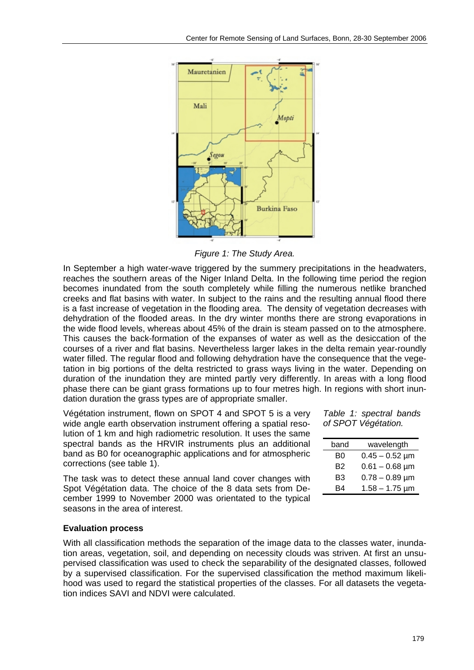

*Figure 1: The Study Area.* 

In September a high water-wave triggered by the summery precipitations in the headwaters, reaches the southern areas of the Niger Inland Delta. In the following time period the region becomes inundated from the south completely while filling the numerous netlike branched creeks and flat basins with water. In subject to the rains and the resulting annual flood there is a fast increase of vegetation in the flooding area. The density of vegetation decreases with dehydration of the flooded areas. In the dry winter months there are strong evaporations in the wide flood levels, whereas about 45% of the drain is steam passed on to the atmosphere. This causes the back-formation of the expanses of water as well as the desiccation of the courses of a river and flat basins. Nevertheless larger lakes in the delta remain year-roundly water filled. The regular flood and following dehydration have the consequence that the vegetation in big portions of the delta restricted to grass ways living in the water. Depending on duration of the inundation they are minted partly very differently. In areas with a long flood phase there can be giant grass formations up to four metres high. In regions with short inundation duration the grass types are of appropriate smaller.

Végétation instrument, flown on SPOT 4 and SPOT 5 is a very wide angle earth observation instrument offering a spatial resolution of 1 km and high radiometric resolution. It uses the same spectral bands as the HRVIR instruments plus an additional band as B0 for oceanographic applications and for atmospheric corrections (see table 1).

The task was to detect these annual land cover changes with Spot Végétation data. The choice of the 8 data sets from December 1999 to November 2000 was orientated to the typical seasons in the area of interest.

#### *Table 1: spectral bands of SPOT Végétation.*

| band | wavelength            |
|------|-----------------------|
| B0   | $0.45 - 0.52$ µm      |
| B2   | $0.61 - 0.68$ µm      |
| B3   | $0.78 - 0.89 \,\mu m$ |
| R4   | $1.58 - 1.75 \,\mu m$ |

#### **Evaluation process**

With all classification methods the separation of the image data to the classes water, inundation areas, vegetation, soil, and depending on necessity clouds was striven. At first an unsupervised classification was used to check the separability of the designated classes, followed by a supervised classification. For the supervised classification the method maximum likelihood was used to regard the statistical properties of the classes. For all datasets the vegetation indices SAVI and NDVI were calculated.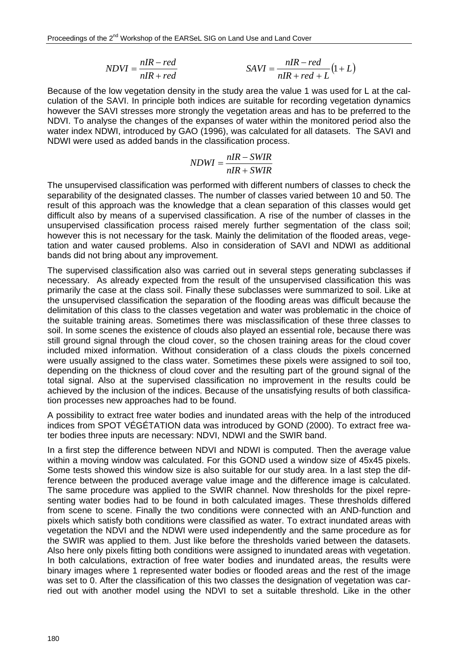$$
NDVI = \frac{nIR - red}{nIR + red} \qquad SAVI = \frac{nIR - red}{nIR + red + L}(1 + L)
$$

Because of the low vegetation density in the study area the value 1 was used for L at the calculation of the SAVI. In principle both indices are suitable for recording vegetation dynamics however the SAVI stresses more strongly the vegetation areas and has to be preferred to the NDVI. To analyse the changes of the expanses of water within the monitored period also the water index NDWI, introduced by GAO (1996), was calculated for all datasets. The SAVI and NDWI were used as added bands in the classification process.

$$
NDWI = \frac{nIR - SWIR}{nIR + SWIR}
$$

The unsupervised classification was performed with different numbers of classes to check the separability of the designated classes. The number of classes varied between 10 and 50. The result of this approach was the knowledge that a clean separation of this classes would get difficult also by means of a supervised classification. A rise of the number of classes in the unsupervised classification process raised merely further segmentation of the class soil; however this is not necessary for the task. Mainly the delimitation of the flooded areas, vegetation and water caused problems. Also in consideration of SAVI and NDWI as additional bands did not bring about any improvement.

The supervised classification also was carried out in several steps generating subclasses if necessary. As already expected from the result of the unsupervised classification this was primarily the case at the class soil. Finally these subclasses were summarized to soil. Like at the unsupervised classification the separation of the flooding areas was difficult because the delimitation of this class to the classes vegetation and water was problematic in the choice of the suitable training areas. Sometimes there was misclassification of these three classes to soil. In some scenes the existence of clouds also played an essential role, because there was still ground signal through the cloud cover, so the chosen training areas for the cloud cover included mixed information. Without consideration of a class clouds the pixels concerned were usually assigned to the class water. Sometimes these pixels were assigned to soil too, depending on the thickness of cloud cover and the resulting part of the ground signal of the total signal. Also at the supervised classification no improvement in the results could be achieved by the inclusion of the indices. Because of the unsatisfying results of both classification processes new approaches had to be found.

A possibility to extract free water bodies and inundated areas with the help of the introduced indices from SPOT VÉGÉTATION data was introduced by GOND (2000). To extract free water bodies three inputs are necessary: NDVI, NDWI and the SWIR band.

In a first step the difference between NDVI and NDWI is computed. Then the average value within a moving window was calculated. For this GOND used a window size of 45x45 pixels. Some tests showed this window size is also suitable for our study area. In a last step the difference between the produced average value image and the difference image is calculated. The same procedure was applied to the SWIR channel. Now thresholds for the pixel representing water bodies had to be found in both calculated images. These thresholds differed from scene to scene. Finally the two conditions were connected with an AND-function and pixels which satisfy both conditions were classified as water. To extract inundated areas with vegetation the NDVI and the NDWI were used independently and the same procedure as for the SWIR was applied to them. Just like before the thresholds varied between the datasets. Also here only pixels fitting both conditions were assigned to inundated areas with vegetation. In both calculations, extraction of free water bodies and inundated areas, the results were binary images where 1 represented water bodies or flooded areas and the rest of the image was set to 0. After the classification of this two classes the designation of vegetation was carried out with another model using the NDVI to set a suitable threshold. Like in the other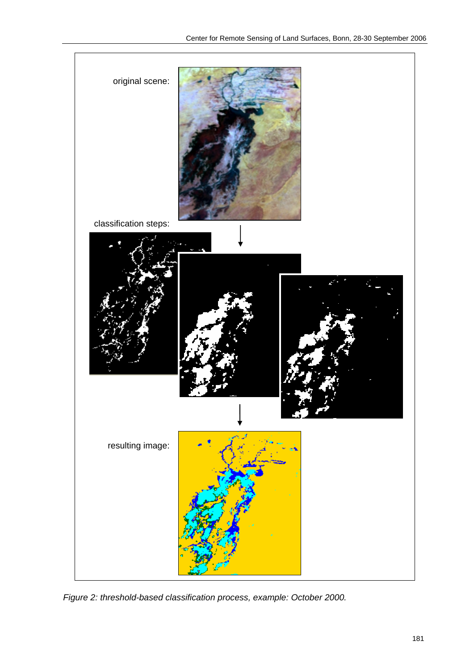

*Figure 2: threshold-based classification process, example: October 2000.*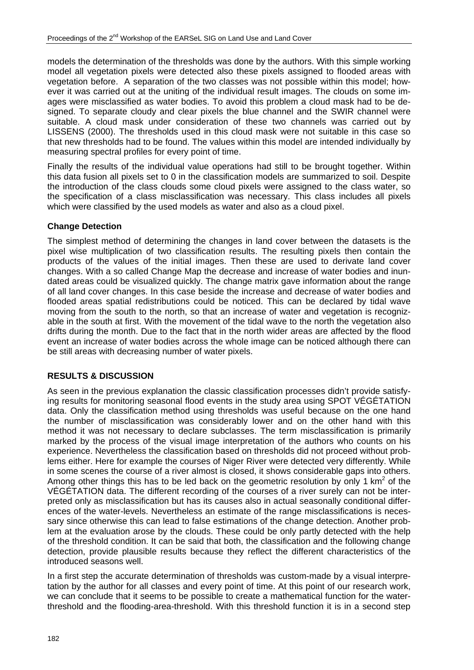models the determination of the thresholds was done by the authors. With this simple working model all vegetation pixels were detected also these pixels assigned to flooded areas with vegetation before. A separation of the two classes was not possible within this model; however it was carried out at the uniting of the individual result images. The clouds on some images were misclassified as water bodies. To avoid this problem a cloud mask had to be designed. To separate cloudy and clear pixels the blue channel and the SWIR channel were suitable. A cloud mask under consideration of these two channels was carried out by LISSENS (2000). The thresholds used in this cloud mask were not suitable in this case so that new thresholds had to be found. The values within this model are intended individually by measuring spectral profiles for every point of time.

Finally the results of the individual value operations had still to be brought together. Within this data fusion all pixels set to 0 in the classification models are summarized to soil. Despite the introduction of the class clouds some cloud pixels were assigned to the class water, so the specification of a class misclassification was necessary. This class includes all pixels which were classified by the used models as water and also as a cloud pixel.

#### **Change Detection**

The simplest method of determining the changes in land cover between the datasets is the pixel wise multiplication of two classification results. The resulting pixels then contain the products of the values of the initial images. Then these are used to derivate land cover changes. With a so called Change Map the decrease and increase of water bodies and inundated areas could be visualized quickly. The change matrix gave information about the range of all land cover changes. In this case beside the increase and decrease of water bodies and flooded areas spatial redistributions could be noticed. This can be declared by tidal wave moving from the south to the north, so that an increase of water and vegetation is recognizable in the south at first. With the movement of the tidal wave to the north the vegetation also drifts during the month. Due to the fact that in the north wider areas are affected by the flood event an increase of water bodies across the whole image can be noticed although there can be still areas with decreasing number of water pixels.

#### **RESULTS & DISCUSSION**

As seen in the previous explanation the classic classification processes didn't provide satisfying results for monitoring seasonal flood events in the study area using SPOT VÉGÉTATION data. Only the classification method using thresholds was useful because on the one hand the number of misclassification was considerably lower and on the other hand with this method it was not necessary to declare subclasses. The term misclassification is primarily marked by the process of the visual image interpretation of the authors who counts on his experience. Nevertheless the classification based on thresholds did not proceed without problems either. Here for example the courses of Niger River were detected very differently. While in some scenes the course of a river almost is closed, it shows considerable gaps into others. Among other things this has to be led back on the geometric resolution by only 1 km<sup>2</sup> of the VÉGÉTATION data. The different recording of the courses of a river surely can not be interpreted only as misclassification but has its causes also in actual seasonally conditional differences of the water-levels. Nevertheless an estimate of the range misclassifications is necessary since otherwise this can lead to false estimations of the change detection. Another problem at the evaluation arose by the clouds. These could be only partly detected with the help of the threshold condition. It can be said that both, the classification and the following change detection, provide plausible results because they reflect the different characteristics of the introduced seasons well.

In a first step the accurate determination of thresholds was custom-made by a visual interpretation by the author for all classes and every point of time. At this point of our research work, we can conclude that it seems to be possible to create a mathematical function for the waterthreshold and the flooding-area-threshold. With this threshold function it is in a second step